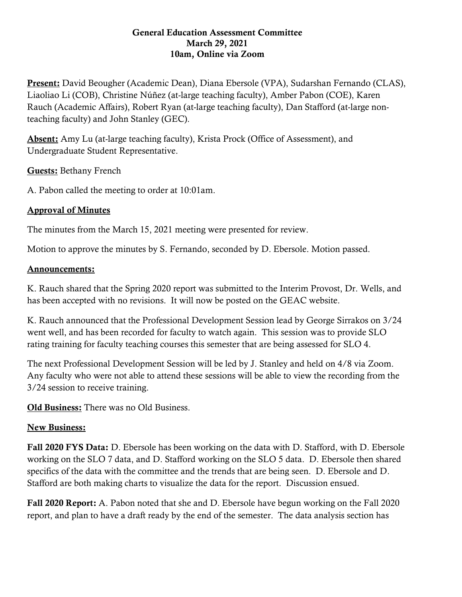## General Education Assessment Committee March 29, 2021 10am, Online via Zoom

Present: David Beougher (Academic Dean), Diana Ebersole (VPA), Sudarshan Fernando (CLAS), Liaoliao Li (COB), Christine Núñez (at-large teaching faculty), Amber Pabon (COE), Karen Rauch (Academic Affairs), Robert Ryan (at-large teaching faculty), Dan Stafford (at-large nonteaching faculty) and John Stanley (GEC).

Absent: Amy Lu (at-large teaching faculty), Krista Prock (Office of Assessment), and Undergraduate Student Representative.

Guests: Bethany French

A. Pabon called the meeting to order at 10:01am.

## Approval of Minutes

The minutes from the March 15, 2021 meeting were presented for review.

Motion to approve the minutes by S. Fernando, seconded by D. Ebersole. Motion passed.

## Announcements:

K. Rauch shared that the Spring 2020 report was submitted to the Interim Provost, Dr. Wells, and has been accepted with no revisions. It will now be posted on the GEAC website.

K. Rauch announced that the Professional Development Session lead by George Sirrakos on 3/24 went well, and has been recorded for faculty to watch again. This session was to provide SLO rating training for faculty teaching courses this semester that are being assessed for SLO 4.

The next Professional Development Session will be led by J. Stanley and held on 4/8 via Zoom. Any faculty who were not able to attend these sessions will be able to view the recording from the 3/24 session to receive training.

Old Business: There was no Old Business.

## New Business:

Fall 2020 FYS Data: D. Ebersole has been working on the data with D. Stafford, with D. Ebersole working on the SLO 7 data, and D. Stafford working on the SLO 5 data. D. Ebersole then shared specifics of the data with the committee and the trends that are being seen. D. Ebersole and D. Stafford are both making charts to visualize the data for the report. Discussion ensued.

Fall 2020 Report: A. Pabon noted that she and D. Ebersole have begun working on the Fall 2020 report, and plan to have a draft ready by the end of the semester. The data analysis section has